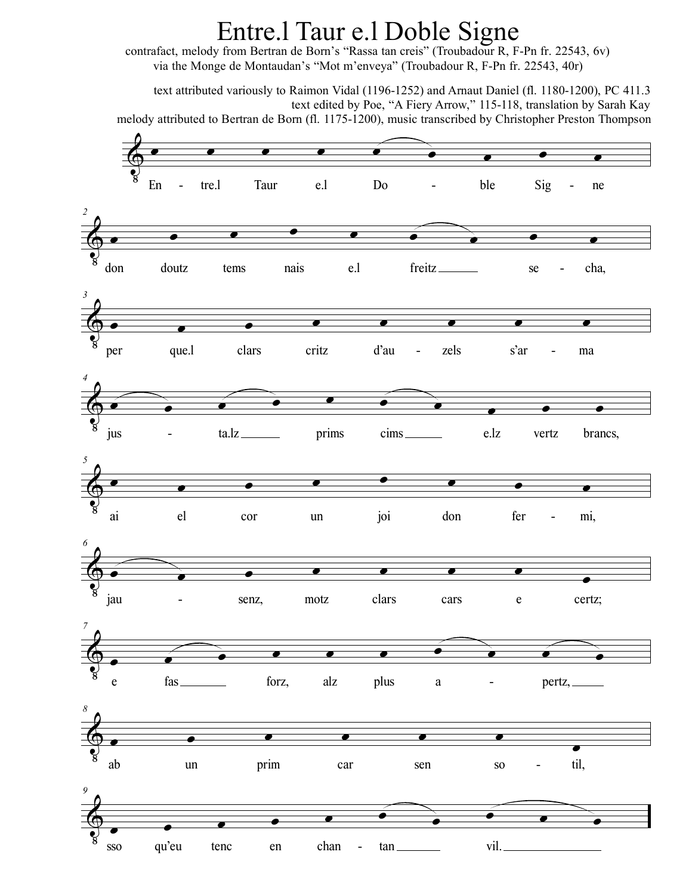## Entre.l Taur e.l Doble Signe

contrafact, melody from Bertran de Born's "Rassa tan creis" (Troubadour R, F-Pn fr. 22543, 6v) via the Monge de Montaudan's "Mot m'enveya" (Troubadour R, F-Pn fr. 22543, 40r)

text attributed variously to Raimon Vidal (1196-1252) and Arnaut Daniel (fl. 1180-1200), PC 411.3 text edited by Poe, "A Fiery Arrow," 115-118, translation by Sarah Kay melody attributed to Bertran de Born (fl. 1175-1200), music transcribed by Christopher Preston Thompson

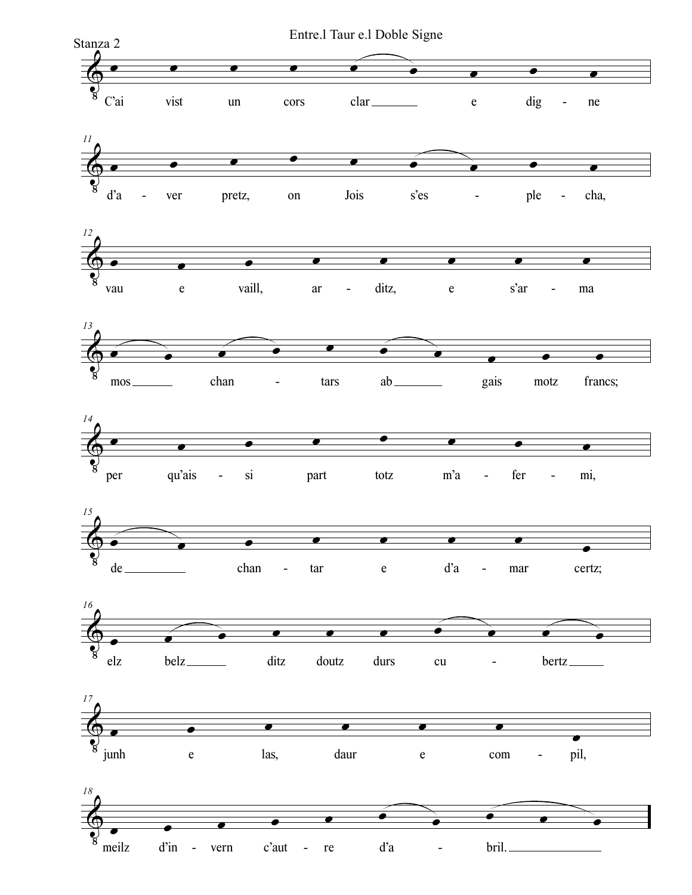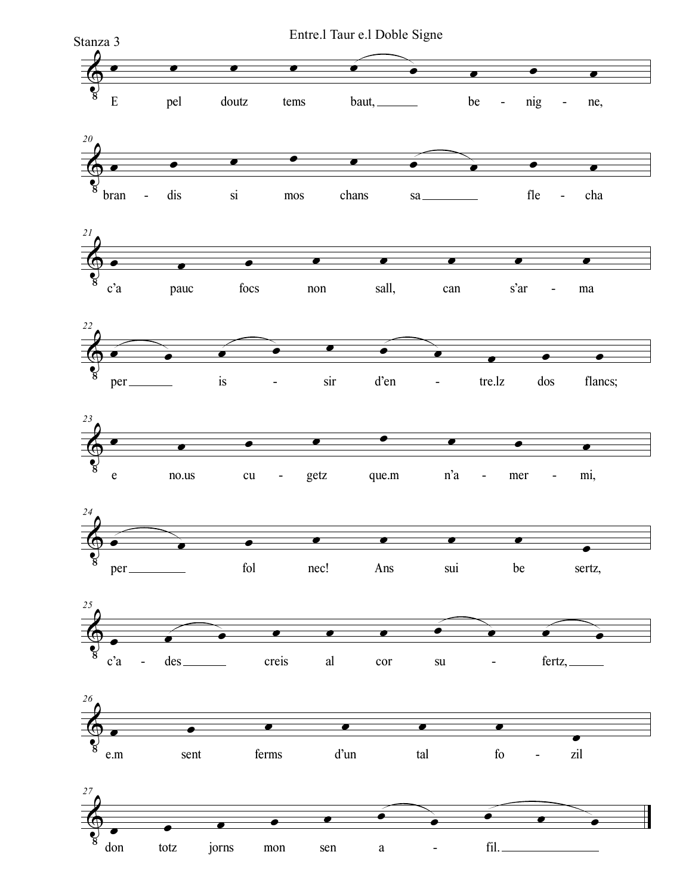